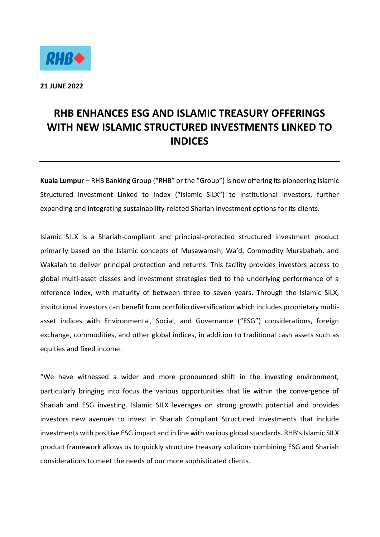

## **RHB ENHANCES ESG AND ISLAMIC TREASURY OFFERINGS WITH NEW ISLAMIC STRUCTURED INVESTMENTS LINKED TO INDICES**

**Kuala Lumpur** – RHB Banking Group ("RHB" or the "Group") is now offering its pioneering Islamic Structured Investment Linked to Index ("Islamic SILX") to institutional investors, further expanding and integrating sustainability-related Shariah investment options for its clients.

Islamic SILX is a Shariah-compliant and principal-protected structured investment product primarily based on the Islamic concepts of Musawamah, Wa'd, Commodity Murabahah, and Wakalah to deliver principal protection and returns. This facility provides investors access to global multi-asset classes and investment strategies tied to the underlying performance of a reference index, with maturity of between three to seven years. Through the Islamic SILX, institutional investors can benefit from portfolio diversification which includes proprietary multiasset indices with Environmental, Social, and Governance ("ESG") considerations, foreign exchange, commodities, and other global indices, in addition to traditional cash assets such as equities and fixed income.

"We have witnessed a wider and more pronounced shift in the investing environment, particularly bringing into focus the various opportunities that lie within the convergence of Shariah and ESG investing. Islamic SILX leverages on strong growth potential and provides investors new avenues to invest in Shariah Compliant Structured Investments that include investments with positive ESG impact and in line with various global standards. RHB's Islamic SILX product framework allows us to quickly structure treasury solutions combining ESG and Shariah considerations to meet the needs of our more sophisticated clients.